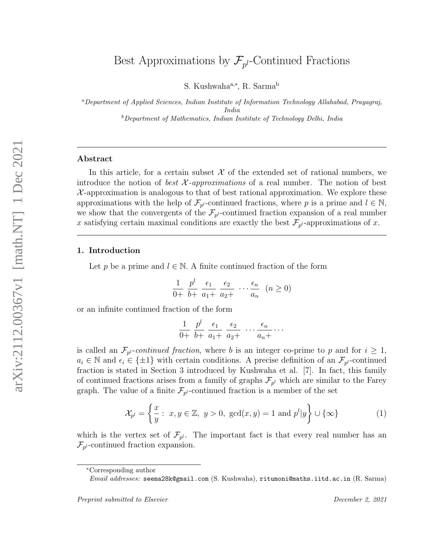S. Kushwaha<sup>a,∗</sup>, R. Sarma<sup>b</sup>

<sup>a</sup>Department of Applied Sciences, Indian Institute of Information Technology Allahabad, Prayagraj, India  $b$ Department of Mathematics, Indian Institute of Technology Delhi, India

#### Abstract

In this article, for a certain subset  $\mathcal X$  of the extended set of rational numbers, we introduce the notion of *best*  $X$ *-approximations* of a real number. The notion of best  $\mathcal{X}$ -approximation is analogous to that of best rational approximation. We explore these approximations with the help of  $\mathcal{F}_{p^l}$ -continued fractions, where p is a prime and  $l \in \mathbb{N}$ , we show that the convergents of the  $\mathcal{F}_{p^l}$ -continued fraction expansion of a real number x satisfying certain maximal conditions are exactly the best  $\mathcal{F}_{p^l}$ -approximations of x.

## 1. Introduction

Let p be a prime and  $l \in \mathbb{N}$ . A finite continued fraction of the form

$$
\frac{1}{0+} \frac{p^l}{b+} \frac{\epsilon_1}{a_1+} \frac{\epsilon_2}{a_2+} \cdots \frac{\epsilon_n}{a_n} \quad (n \ge 0)
$$

or an infinite continued fraction of the form

$$
\frac{1}{0+} \frac{p^l}{b+} \frac{\epsilon_1}{a_1+} \frac{\epsilon_2}{a_2+} \cdots \frac{\epsilon_n}{a_n+} \cdots
$$

is called an  $\mathcal{F}_{p^l}$ -continued fraction, where b is an integer co-prime to p and for  $i \geq 1$ ,  $a_i \in \mathbb{N}$  and  $\epsilon_i \in \{\pm 1\}$  with certain conditions. A precise definition of an  $\mathcal{F}_{p^l}$ -continued fraction is stated in Section 3 introduced by Kushwaha et al. [7]. In fact, this family of continued fractions arises from a family of graphs  $\mathcal{F}_{p^l}$  which are similar to the Farey graph. The value of a finite  $\mathcal{F}_{p^l}$ -continued fraction is a member of the set

$$
\mathcal{X}_{p^l} = \left\{ \frac{x}{y} : x, y \in \mathbb{Z}, y > 0, \text{ gcd}(x, y) = 1 \text{ and } p^l | y \right\} \cup \{\infty\}
$$
 (1)

which is the vertex set of  $\mathcal{F}_{p^l}$ . The important fact is that every real number has an  $\mathcal{F}_{p^l}$ -continued fraction expansion.

<sup>∗</sup>Corresponding author

Email addresses: seema28k@gmail.com (S. Kushwaha), ritumoni@maths.iitd.ac.in (R. Sarma)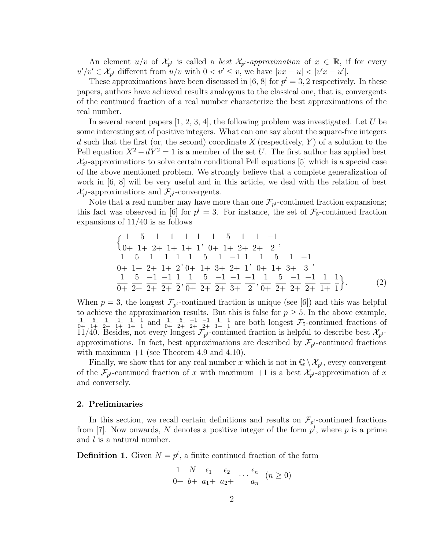An element  $u/v$  of  $\mathcal{X}_{p^l}$  is called a *best*  $\mathcal{X}_{p^l}$ -approximation of  $x \in \mathbb{R}$ , if for every  $u'/v' \in \mathcal{X}_{p^l}$  different from  $u/v$  with  $0 < v' \leq v$ , we have  $|vx - u| < |v'x - u'|$ .

These approximations have been discussed in [6, 8] for  $p^l = 3, 2$  respectively. In these papers, authors have achieved results analogous to the classical one, that is, convergents of the continued fraction of a real number characterize the best approximations of the real number.

In several recent papers  $[1, 2, 3, 4]$ , the following problem was investigated. Let U be some interesting set of positive integers. What can one say about the square-free integers d such that the first (or, the second) coordinate  $X$  (respectively, Y) of a solution to the Pell equation  $X^2 - dY^2 = 1$  is a member of the set U. The first author has applied best  $\mathcal{X}_{2^l}$ -approximations to solve certain conditional Pell equations [5] which is a special case of the above mentioned problem. We strongly believe that a complete generalization of work in [6, 8] will be very useful and in this article, we deal with the relation of best  $\mathcal{X}_{p^l}$ -approximations and  $\mathcal{F}_{p^l}$ -convergents.

Note that a real number may have more than one  $\mathcal{F}_{p^l}$ -continued fraction expansions; this fact was observed in [6] for  $p^l = 3$ . For instance, the set of  $\mathcal{F}_5$ -continued fraction expansions of 11/40 is as follows

$$
\begin{aligned}\n\left\{\n\frac{1}{0+} \frac{5}{1+} \frac{1}{2+} \frac{1}{1+} \frac{1}{1+} \frac{1}{1}, \frac{1}{0+} \frac{5}{1+} \frac{1}{2+} \frac{1}{2+} \frac{-1}{2},\n\end{aligned}\n\right. \\
\begin{aligned}\n\frac{1}{0+} \frac{5}{1+} \frac{1}{2+} \frac{1}{1+} \frac{1}{2}, \frac{1}{0+} \frac{5}{1+} \frac{1}{3+} \frac{-1}{2+} \frac{1}{1}, \frac{1}{0+} \frac{5}{1+} \frac{1}{3+} \frac{-1}{3},\n\end{aligned}
$$
\n
$$
\frac{1}{0+} \frac{5}{2+} \frac{-1}{2+} \frac{-1}{2+} \frac{1}{2}, \frac{1}{0+} \frac{5}{2+} \frac{-1}{3+} \frac{-1}{2}, \frac{-1}{0+} \frac{1}{2+} \frac{5}{2+} \frac{-1}{2+} \frac{-1}{1+} \frac{1}{1}\n\end{aligned}
$$
\n
$$
\begin{aligned}\n(2)\n\end{aligned}
$$

When  $p = 3$ , the longest  $\mathcal{F}_{p^l}$ -continued fraction is unique (see [6]) and this was helpful to achieve the approximation results. But this is false for  $p \geq 5$ . In the above example, 1  $^{0+}$ 5 1+ 1 2+ 1 1+ 1 1+ 1  $rac{1}{1}$  and  $rac{1}{0+}$ 5 2+  $-1$ 2+  $-1$ 2+ 1 1+ 1  $\frac{1}{1}$  are both longest  $\mathcal{F}_5$ -continued fractions of 11/40. Besides, not every longest  $\mathcal{F}_{p^l}$ -continued fraction is helpful to describe best  $\mathcal{X}_{p^l}$ approximations. In fact, best approximations are described by  $\mathcal{F}_{p^l}$ -continued fractions with maximum  $+1$  (see Theorem 4.9 and 4.10).

Finally, we show that for any real number x which is not in  $\mathbb{Q}\setminus \mathcal{X}_{p^l}$ , every convergent of the  $\mathcal{F}_{p^l}$ -continued fraction of x with maximum  $+1$  is a best  $\mathcal{X}_{p^l}$ -approximation of x and conversely.

#### 2. Preliminaries

In this section, we recall certain definitions and results on  $\mathcal{F}_{p}$ -continued fractions from [7]. Now onwards, N denotes a positive integer of the form  $p^{l}$ , where p is a prime and l is a natural number.

**Definition 1.** Given  $N = p^l$ , a finite continued fraction of the form

$$
\frac{1}{0+} \ \frac{N}{b+} \ \frac{\epsilon_1}{a_1+} \ \frac{\epsilon_2}{a_2+} \ \cdots \frac{\epsilon_n}{a_n} \ \ (n \ge 0)
$$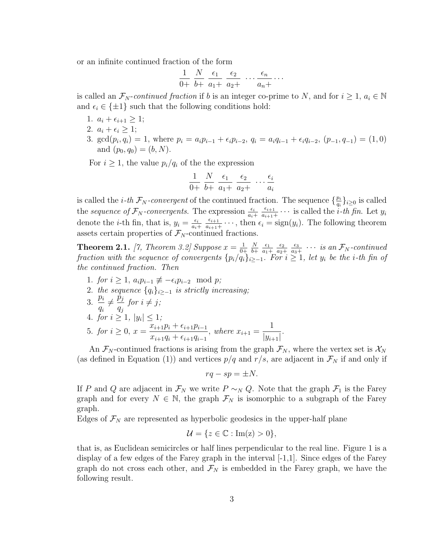or an infinite continued fraction of the form

$$
\frac{1}{0+} \frac{N}{b+} \frac{\epsilon_1}{a_1+} \frac{\epsilon_2}{a_2+} \cdots \frac{\epsilon_n}{a_n+} \cdots
$$

is called an  $\mathcal{F}_N$ -continued fraction if b is an integer co-prime to N, and for  $i \geq 1$ ,  $a_i \in \mathbb{N}$ and  $\epsilon_i \in \{\pm 1\}$  such that the following conditions hold:

- 1.  $a_i + \epsilon_{i+1} \geq 1;$
- 2.  $a_i + \epsilon_i \geq 1$ ;
- 3. gcd $(p_i, q_i) = 1$ , where  $p_i = a_i p_{i-1} + \epsilon_i p_{i-2}, q_i = a_i q_{i-1} + \epsilon_i q_{i-2}, (p_{-1}, q_{-1}) = (1, 0)$ and  $(p_0, q_0) = (b, N)$ .

For  $i \geq 1$ , the value  $p_i/q_i$  of the the expression

$$
\frac{1}{0+} \ \frac{N}{b+} \ \frac{\epsilon_1}{a_1+} \ \frac{\epsilon_2}{a_2+} \ \cdots \frac{\epsilon_i}{a_i}
$$

is called the *i*-th  $\mathcal{F}_N$ -convergent of the continued fraction. The sequence  $\{\frac{p_i}{q_i}\}$  $\frac{p_i}{q_i}\}_{i\geq 0}$  is called the sequence of  $\mathcal{F}_{N}$ -convergents. The expression  $\frac{\epsilon_i}{a_i+1}$  $\epsilon_{i+1}$  $\frac{\epsilon_{i+1}}{a_{i+1}+}\cdots$  is called the *i*-th fin. Let  $y_i$ denote the *i*-th fin, that is,  $y_i = \frac{\epsilon_i}{a_i}$  $a_i+$  $\epsilon_{i+1}$  $\frac{\epsilon_{i+1}}{a_{i+1}} \cdots$ , then  $\epsilon_i = \text{sign}(y_i)$ . The following theorem assets certain properties of  $\mathcal{F}_N$ -continued fractions.

**Theorem 2.1.** [7, Theorem 3.2] Suppose  $x = \frac{1}{0}$  $0+$ N  $^{b+}$  $\epsilon_1$  $a_1+$  $\epsilon_2$  $a_2+$  $\epsilon_3$  $rac{\epsilon_3}{\epsilon_{a_3+}}$   $\cdots$  is an  $\mathcal{F}_N$ -continued fraction with the sequence of convergents  $\{p_i/q_i\}_{i\geq -1}$ . For  $i\geq 1$ , let  $y_i$  be the i-th fin of the continued fraction. Then

- 1. for  $i \geq 1$ ,  $a_i p_{i-1} \not\equiv -\epsilon_i p_{i-2} \mod p$ ;
- 2. the sequence  ${q_i}_{i\ge-1}$  is strictly increasing;
- $3. \frac{p_i}{q}$ qi  $\neq \frac{\vec{p}_j}{\sqrt{p_j}}$  $q_j$ for  $i \neq j$ ;
- 4. for  $i \geq 1, |y_i| \leq 1;$ 5. for  $i \geq 0$ ,  $x = \frac{x_{i+1}p_i + \epsilon_{i+1}p_{i-1}}{p_i}$  $x_{i+1}q_i + \epsilon_{i+1}q_{i-1}$ , where  $x_{i+1} =$ 1  $|y_{i+1}|$ .

An  $\mathcal{F}_N$ -continued fractions is arising from the graph  $\mathcal{F}_N$ , where the vertex set is  $\mathcal{X}_N$ (as defined in Equation (1)) and vertices  $p/q$  and  $r/s$ , are adjacent in  $\mathcal{F}_N$  if and only if

$$
rq - sp = \pm N.
$$

If P and Q are adjacent in  $\mathcal{F}_N$  we write  $P \sim_N Q$ . Note that the graph  $\mathcal{F}_1$  is the Farey graph and for every  $N \in \mathbb{N}$ , the graph  $\mathcal{F}_N$  is isomorphic to a subgraph of the Farey graph.

Edges of  $\mathcal{F}_N$  are represented as hyperbolic geodesics in the upper-half plane

$$
\mathcal{U} = \{ z \in \mathbb{C} : \text{Im}(z) > 0 \},
$$

that is, as Euclidean semicircles or half lines perpendicular to the real line. Figure 1 is a display of a few edges of the Farey graph in the interval  $[-1,1]$ . Since edges of the Farey graph do not cross each other, and  $\mathcal{F}_N$  is embedded in the Farey graph, we have the following result.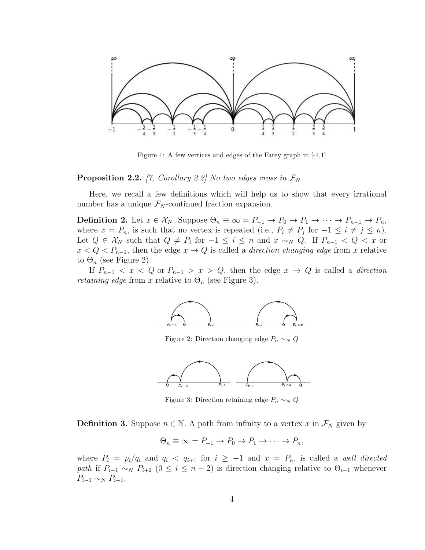

Figure 1: A few vertices and edges of the Farey graph in [-1,1]

**Proposition 2.2.** [7, Corollary 2.2] No two edges cross in  $\mathcal{F}_N$ .

Here, we recall a few definitions which will help us to show that every irrational number has a unique  $\mathcal{F}_N$ -continued fraction expansion.

**Definition 2.** Let  $x \in \mathcal{X}_N$ . Suppose  $\Theta_n \equiv \infty = P_{-1} \to P_0 \to P_1 \to \cdots \to P_{n-1} \to P_n$ , where  $x = P_n$ , is such that no vertex is repeated (i.e.,  $P_i \neq P_j$  for  $-1 \leq i \neq j \leq n$ ). Let  $Q \in \mathcal{X}_N$  such that  $Q \neq P_i$  for  $-1 \leq i \leq n$  and  $x \sim_N Q$ . If  $P_{n-1} < Q < x$  or  $x < Q < P_{n-1}$ , then the edge  $x \to Q$  is called a *direction changing edge* from x relative to  $\Theta_n$  (see Figure 2).

If  $P_{n-1} < x < Q$  or  $P_{n-1} > x > Q$ , then the edge  $x \to Q$  is called a *direction retaining edge* from x relative to  $\Theta_n$  (see Figure 3).



Figure 2: Direction changing edge  $P_n \sim_N Q$ 



Figure 3: Direction retaining edge  $P_n \sim_N Q$ 

**Definition 3.** Suppose  $n \in \mathbb{N}$ . A path from infinity to a vertex x in  $\mathcal{F}_N$  given by

$$
\Theta_n \equiv \infty = P_{-1} \to P_0 \to P_1 \to \cdots \to P_n,
$$

where  $P_i = p_i/q_i$  and  $q_i < q_{i+1}$  for  $i \geq -1$  and  $x = P_n$ , is called a well directed path if  $P_{i+1} \sim_N P_{i+2}$   $(0 \le i \le n-2)$  is direction changing relative to  $\Theta_{i+1}$  whenever  $P_{i-1} \sim_N P_{i+1}.$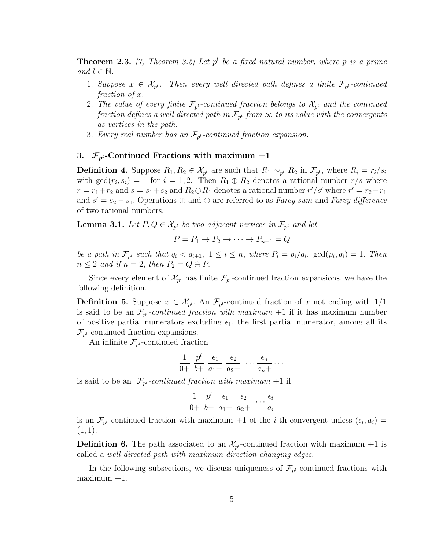**Theorem 2.3.** [7, Theorem 3.5] Let  $p^l$  be a fixed natural number, where p is a prime and  $l \in \mathbb{N}$ .

- 1. Suppose  $x \in \mathcal{X}_{p^l}$ . Then every well directed path defines a finite  $\mathcal{F}_{p^l}$ -continued fraction of x.
- 2. The value of every finite  $\mathcal{F}_{p^l}$ -continued fraction belongs to  $\mathcal{X}_{p^l}$  and the continued fraction defines a well directed path in  $\mathcal{F}_{p^l}$  from  $\infty$  to its value with the convergents as vertices in the path.
- 3. Every real number has an  $\mathcal{F}_{p^l}$ -continued fraction expansion.

### 3.  $\mathcal{F}_{p^l}$ -Continued Fractions with maximum  $+1$

**Definition 4.** Suppose  $R_1, R_2 \in \mathcal{X}_{p^l}$  are such that  $R_1 \sim_{p^l} R_2$  in  $\mathcal{F}_{p^l}$ , where  $R_i = r_i/s_i$ with  $gcd(r_i, s_i) = 1$  for  $i = 1, 2$ . Then  $R_1 \oplus R_2$  denotes a rational number  $r/s$  where  $r = r_1 + r_2$  and  $s = s_1 + s_2$  and  $R_2 \ominus R_1$  denotes a rational number  $r'/s'$  where  $r' = r_2 - r_1$ and  $s' = s_2 - s_1$ . Operations  $\oplus$  and  $\ominus$  are referred to as *Farey sum* and *Farey difference* of two rational numbers.

**Lemma 3.1.** Let  $P, Q \in \mathcal{X}_{p^l}$  be two adjacent vertices in  $\mathcal{F}_{p^l}$  and let

$$
P = P_1 \to P_2 \to \cdots \to P_{n+1} = Q
$$

be a path in  $\mathcal{F}_{p^l}$  such that  $q_i < q_{i+1}$ ,  $1 \leq i \leq n$ , where  $P_i = p_i/q_i$ ,  $\gcd(p_i, q_i) = 1$ . Then  $n \leq 2$  and if  $n = 2$ , then  $P_2 = Q \ominus P$ .

Since every element of  $\mathcal{X}_{p^l}$  has finite  $\mathcal{F}_{p^l}$ -continued fraction expansions, we have the following definition.

**Definition 5.** Suppose  $x \in \mathcal{X}_{p^l}$ . An  $\mathcal{F}_{p^l}$ -continued fraction of x not ending with  $1/1$ is said to be an  $\mathcal{F}_{p^l}$ -continued fraction with maximum  $+1$  if it has maximum number of positive partial numerators excluding  $\epsilon_1$ , the first partial numerator, among all its  $\mathcal{F}_{p^l}$ -continued fraction expansions.

An infinite  $\mathcal{F}_{p^l}$ -continued fraction

$$
\frac{1}{0+} \ \frac{p^l}{b+} \ \frac{\epsilon_1}{a_1+} \ \frac{\epsilon_2}{a_2+} \ \cdots \frac{\epsilon_n}{a_n+} \cdots
$$

is said to be an  $\mathcal{F}_{p^l}$ -continued fraction with maximum +1 if

$$
\frac{1}{0+} \ \frac{p^l}{b+} \ \frac{\epsilon_1}{a_1+} \ \frac{\epsilon_2}{a_2+} \ \cdots \frac{\epsilon_i}{a_i}
$$

is an  $\mathcal{F}_{p^l}$ -continued fraction with maximum +1 of the *i*-th convergent unless  $(\epsilon_i, a_i)$  =  $(1, 1).$ 

**Definition 6.** The path associated to an  $\mathcal{X}_{p^l}$ -continued fraction with maximum  $+1$  is called a well directed path with maximum direction changing edges.

In the following subsections, we discuss uniqueness of  $\mathcal{F}_{p^l}$ -continued fractions with  $maximum +1$ .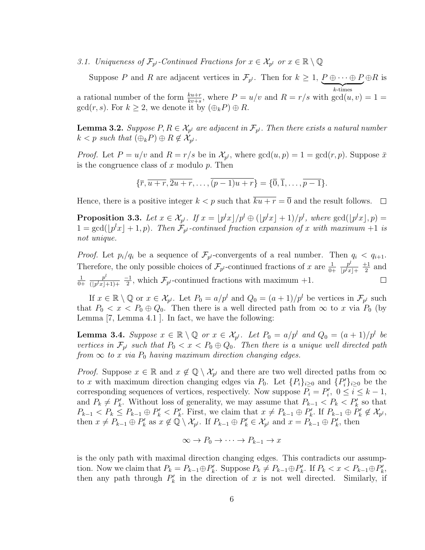3.1. Uniqueness of  $\mathcal{F}_{p^l}$ -Continued Fractions for  $x \in \mathcal{X}_{p^l}$  or  $x \in \mathbb{R} \setminus \mathbb{Q}$ 

Suppose P and R are adjacent vertices in  $\mathcal{F}_{p^l}$ . Then for  $k \geq 1$ ,  $P \oplus \cdots \oplus P$  $\overbrace{k \text{-times}}$  $\oplus R$  is a rational number of the form  $\frac{k u + r}{k v + s}$ , where  $P = u/v$  and  $R = r/s$  with  $gcd(u, v) = 1$  $gcd(r, s)$ . For  $k \geq 2$ , we denote it by  $(\bigoplus_k P) \oplus R$ .

**Lemma 3.2.** Suppose  $P, R \in \mathcal{X}_{p^l}$  are adjacent in  $\mathcal{F}_{p^l}$ . Then there exists a natural number  $k < p$  such that  $(\bigoplus_k P) \oplus R \notin \mathcal{X}_{p^l}$ .

*Proof.* Let  $P = u/v$  and  $R = r/s$  be in  $\mathcal{X}_{p^l}$ , where  $gcd(u, p) = 1 = gcd(r, p)$ . Suppose  $\bar{x}$ is the congruence class of  $x$  modulo  $p$ . Then

$$
\{\overline{r},\overline{u+r},\overline{2u+r},\ldots,\overline{(p-1)u+r}\}=\{\overline{0},\overline{1},\ldots,\overline{p-1}\}.
$$

Hence, there is a positive integer  $k < p$  such that  $\overline{k u + r} = \overline{0}$  and the result follows.  $\Box$ 

**Proposition 3.3.** Let  $x \in \mathcal{X}_{p^l}$ . If  $x = \lfloor p^l x \rfloor / p^l \oplus (\lfloor p^l x \rfloor + 1) / p^l$ , where  $\gcd(\lfloor p^l x \rfloor, p) =$  $1 = \gcd(\lfloor p^l x \rfloor + 1, p)$ . Then  $\mathcal{F}_{p^l}$ -continued fraction expansion of x with maximum +1 is not unique.

*Proof.* Let  $p_i/q_i$  be a sequence of  $\mathcal{F}_{p^l}$ -convergents of a real number. Then  $q_i < q_{i+1}$ .  $p^l$ Therefore, the only possible choices of  $\mathcal{F}_{p^l}$ -continued fractions of x are  $\frac{1}{0+1}$  $+1$  $\frac{1}{2}$  and  $|p^l x| +$  $p^l$ 1 −1  $\frac{1}{2}$ , which  $\mathcal{F}_{p^l}$ -continued fractions with maximum +1.  $\Box$  $^{0+}$  $\overline{(|p^l x|+1)+}$ 

If  $x \in \mathbb{R} \setminus \mathbb{Q}$  or  $x \in \mathcal{X}_{p^l}$ . Let  $P_0 = a/p^l$  and  $Q_0 = (a+1)/p^l$  be vertices in  $\mathcal{F}_{p^l}$  such that  $P_0 < x < P_0 \oplus Q_0$ . Then there is a well directed path from  $\infty$  to x via  $P_0$  (by Lemma [7, Lemma 4.1 ]. In fact, we have the following:

**Lemma 3.4.** Suppose  $x \in \mathbb{R} \setminus \mathbb{Q}$  or  $x \in \mathcal{X}_{p^l}$ . Let  $P_0 = a/p^l$  and  $Q_0 = (a+1)/p^l$  be vertices in  $\mathcal{F}_{p^l}$  such that  $P_0 < x < P_0 \oplus Q_0$ . Then there is a unique well directed path from  $\infty$  to x via  $P_0$  having maximum direction changing edges.

*Proof.* Suppose  $x \in \mathbb{R}$  and  $x \notin \mathbb{Q} \setminus \mathcal{X}_{p^l}$  and there are two well directed paths from  $\infty$ to x with maximum direction changing edges via  $P_0$ . Let  $\{P_i\}_{i\geq 0}$  and  $\{P_i'\}_{i\geq 0}$  be the corresponding sequences of vertices, respectively. Now suppose  $P_i = P'_i$ ,  $0 \le i \le k - 1$ , and  $P_k \neq P'_k$ . Without loss of generality, we may assume that  $P_{k-1} < P_k < P'_k$  so that  $P_{k-1} < P_k \le P_{k-1} \oplus P'_k < P'_k$ . First, we claim that  $x \ne P_{k-1} \oplus P'_k$ . If  $P_{k-1} \oplus P'_k \notin \mathcal{X}_{p^l}$ , then  $x \neq P_{k-1} \oplus P'_k$  as  $x \notin \mathbb{Q} \setminus \mathcal{X}_{p^l}$ . If  $P_{k-1} \oplus P'_k \in \mathcal{X}_{p^l}$  and  $x = P_{k-1} \oplus P'_k$ , then

$$
\infty \to P_0 \to \cdots \to P_{k-1} \to x
$$

is the only path with maximal direction changing edges. This contradicts our assumption. Now we claim that  $P_k = P_{k-1} \oplus P'_k$ . Suppose  $P_k \neq P_{k-1} \oplus P'_k$ . If  $P_k < x < P_{k-1} \oplus P'_k$ , then any path through  $P'_k$  in the direction of x is not well directed. Similarly, if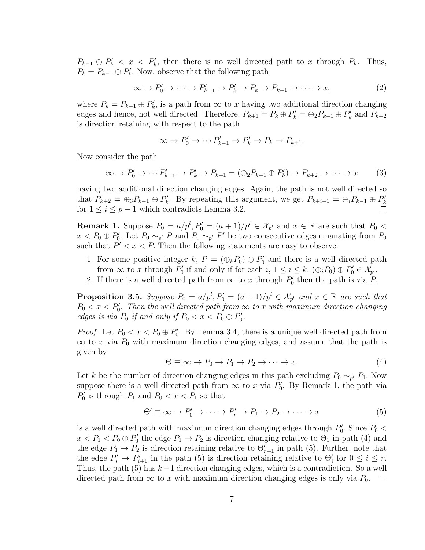$P_{k-1} \oplus P'_k < x < P'_k$ , then there is no well directed path to x through  $P_k$ . Thus,  $P_k = P_{k-1} \oplus P'_k$ . Now, observe that the following path

$$
\infty \to P'_0 \to \cdots \to P'_{k-1} \to P'_k \to P_k \to P_{k+1} \to \cdots \to x,\tag{2}
$$

where  $P_k = P_{k-1} \oplus P'_k$ , is a path from  $\infty$  to x having two additional direction changing edges and hence, not well directed. Therefore,  $P_{k+1} = P_k \oplus P'_k = \bigoplus_2 P_{k-1} \oplus P'_k$  and  $P_{k+2}$ is direction retaining with respect to the path

$$
\infty \to P'_0 \to \cdots P'_{k-1} \to P'_k \to P_k \to P_{k+1}.
$$

Now consider the path

$$
\infty \to P'_0 \to \cdots P'_{k-1} \to P'_k \to P_{k+1} = (\oplus_2 P_{k-1} \oplus P'_k) \to P_{k+2} \to \cdots \to x \tag{3}
$$

having two additional direction changing edges. Again, the path is not well directed so that  $P_{k+2} = \bigoplus_{3} P_{k-1} \oplus P'_{k}$ . By repeating this argument, we get  $P_{k+i-1} = \bigoplus_{i} P_{k-1} \oplus P'_{k}$ for  $1 \leq i \leq p-1$  which contradicts Lemma 3.2.  $\Box$ 

**Remark 1.** Suppose  $P_0 = a/p^l$ ,  $P'_0 = (a+1)/p^l \in \mathcal{X}_{p^l}$  and  $x \in \mathbb{R}$  are such that  $P_0 <$  $x < P_0 \oplus P'_0$ . Let  $P_0 \sim_{p^l} P$  and  $P_0 \sim_{p^l} P'$  be two consecutive edges emanating from  $P_0$ such that  $P' < x < P$ . Then the following statements are easy to observe:

- 1. For some positive integer k,  $P = (\bigoplus_k P_0) \oplus P'_0$  and there is a well directed path from  $\infty$  to x through  $P'_0$  if and only if for each  $i, 1 \le i \le k$ ,  $(\bigoplus_i P_0) \oplus P'_0 \in \mathcal{X}_{p^l}$ .
- 2. If there is a well directed path from  $\infty$  to x through  $P'_0$  then the path is via P.

**Proposition 3.5.** Suppose  $P_0 = a/p^l$ ,  $P'_0 = (a+1)/p^l \in \mathcal{X}_{p^l}$  and  $x \in \mathbb{R}$  are such that  $P_0 < x < P'_0$ . Then the well directed path from  $\infty$  to x with maximum direction changing edges is via  $P_0$  if and only if  $P_0 < x < P_0 \oplus P'_0$ .

*Proof.* Let  $P_0 < x < P_0 \oplus P'_0$ . By Lemma 3.4, there is a unique well directed path from  $\infty$  to x via  $P_0$  with maximum direction changing edges, and assume that the path is given by

$$
\Theta \equiv \infty \to P_0 \to P_1 \to P_2 \to \cdots \to x. \tag{4}
$$

Let k be the number of direction changing edges in this path excluding  $P_0 \sim_{p^l} P_1$ . Now suppose there is a well directed path from  $\infty$  to x via  $P'_0$ . By Remark 1, the path via  $P'_0$  is through  $P_1$  and  $P_0 < x < P_1$  so that

$$
\Theta' \equiv \infty \to P'_0 \to \cdots \to P'_r \to P_1 \to P_2 \to \cdots \to x \tag{5}
$$

is a well directed path with maximum direction changing edges through  $P'_0$ . Since  $P_0$  <  $x < P_1 < P_0 \oplus P'_0$  the edge  $P_1 \rightarrow P_2$  is direction changing relative to  $\Theta_1$  in path (4) and the edge  $P_1 \rightarrow P_2$  is direction retaining relative to  $\Theta'_{r+1}$  in path (5). Further, note that the edge  $P'_i \to P'_{i+1}$  in the path (5) is direction retaining relative to  $\Theta'_i$  for  $0 \leq i \leq r$ . Thus, the path (5) has  $k-1$  direction changing edges, which is a contradiction. So a well directed path from  $\infty$  to x with maximum direction changing edges is only via  $P_0$ .  $\Box$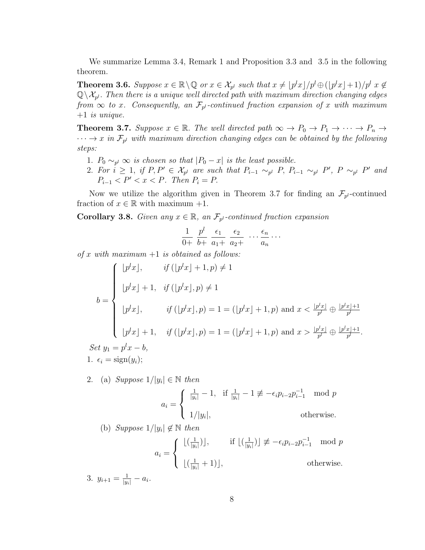We summarize Lemma 3.4, Remark 1 and Proposition 3.3 and 3.5 in the following theorem.

**Theorem 3.6.** Suppose  $x \in \mathbb{R} \setminus \mathbb{Q}$  or  $x \in \mathcal{X}_{p^l}$  such that  $x \neq \lfloor p^l x \rfloor / p^l \oplus (\lfloor p^l x \rfloor + 1) / p^l$   $x \notin \mathbb{Q}$  $\mathbb{Q}\setminus \mathcal{X}_{p^l}$ . Then there is a unique well directed path with maximum direction changing edges from  $\infty$  to x. Consequently, an  $\mathcal{F}_{p^l}$ -continued fraction expansion of x with maximum  $+1$  is unique.

**Theorem 3.7.** Suppose  $x \in \mathbb{R}$ . The well directed path  $\infty \to P_0 \to P_1 \to \cdots \to P_n \to$  $\cdots \rightarrow x$  in  $\mathcal{F}_{p^l}$  with maximum direction changing edges can be obtained by the following steps:

- 1.  $P_0 \sim_{p^l} \infty$  is chosen so that  $|P_0 x|$  is the least possible.
- 2. For  $i \geq 1$ , if  $P, P' \in \mathcal{X}_{p^l}$  are such that  $P_{i-1} \sim_{p^l} P, P_{i-1} \sim_{p^l} P', P \sim_{p^l} P'$  and  $P_{i-1} < P' < x < P$ . Then  $P_i = P$ .

Now we utilize the algorithm given in Theorem 3.7 for finding an  $\mathcal{F}_{p^l}$ -continued fraction of  $x \in \mathbb{R}$  with maximum  $+1$ .

**Corollary 3.8.** Given any  $x \in \mathbb{R}$ , an  $\mathcal{F}_{p^l}$ -continued fraction expansion

$$
\frac{1}{0+} \ \frac{p^l}{b+} \ \frac{\epsilon_1}{a_1+} \ \frac{\epsilon_2}{a_2+} \ \cdots \ \frac{\epsilon_n}{a_n} \ \cdots
$$

of x with maximum  $+1$  is obtained as follows:

$$
b = \begin{cases} [p^l x], & \text{if } ([p^l x] + 1, p) \neq 1 \\ [p^l x] + 1, & \text{if } ([p^l x], p) \neq 1 \\ [p^l x], & \text{if } ([p^l x], p) = 1 = ([p^l x] + 1, p) \text{ and } x < \frac{[p^l x]}{p^l} \oplus \frac{[p^l x] + 1}{p^l} \\ [p^l x] + 1, & \text{if } ([p^l x], p) = 1 = ([p^l x] + 1, p) \text{ and } x > \frac{[p^l x]}{p^l} \oplus \frac{[p^l x] + 1}{p^l}. \end{cases}
$$
\n
$$
Set \ y_1 = p^l x - b,
$$

1.  $\epsilon_i = \text{sign}(y_i);$ 

2. (a) Suppose  $1/|y_i| \in \mathbb{N}$  then

$$
a_i = \begin{cases} \frac{1}{|y_i|} - 1, & \text{if } \frac{1}{|y_i|} - 1 \not\equiv -\epsilon_i p_{i-2} p_{i-1}^{-1} \mod p \\ 1/|y_i|, & \text{otherwise.} \end{cases}
$$

(b) Suppose  $1/|y_i| \notin \mathbb{N}$  then

$$
a_{i} = \begin{cases} \lfloor \left(\frac{1}{|y_{i}|}\right) \rfloor, & \text{if } \lfloor \left(\frac{1}{|y_{i}|}\right) \rfloor \not\equiv -\epsilon_{i} p_{i-2} p_{i-1}^{-1} \mod p \\ \lfloor \left(\frac{1}{|y_{i}|}+1\right) \rfloor, & \text{otherwise.} \end{cases}
$$

3.  $y_{i+1} = \frac{1}{|y_i|} - a_i$ .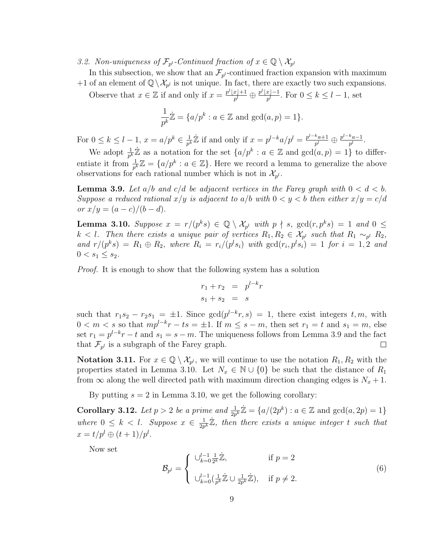3.2. Non-uniqueness of  $\mathcal{F}_{p^l}$ -Continued fraction of  $x \in \mathbb{Q} \setminus \mathcal{X}_{p^l}$ 

In this subsection, we show that an  $\mathcal{F}_{p^l}$ -continued fraction expansion with maximum +1 of an element of  $\mathbb{Q}\setminus\mathcal{X}_{p^l}$  is not unique. In fact, there are exactly two such expansions.

Observe that  $x \in \mathbb{Z}$  if and only if  $x = \frac{p^l |x| + 1}{p^l}$  $\frac{x+1}{p^l} \oplus \frac{p^l \lfloor x \rfloor - 1}{p^l}$  $\frac{x_j-1}{p^l}$ . For  $0 \leq k \leq l-1$ , set

$$
\frac{1}{p^k}\dot{\mathbb{Z}} = \{a/p^k : a \in \mathbb{Z} \text{ and } \gcd(a, p) = 1\}.
$$

For  $0 \leq k \leq l-1$ ,  $x = a/p^k \in \frac{1}{p^l}$  $\frac{1}{p^k}\mathbb{Z}$  if and only if  $x = p^{l-k}a/p^l = \frac{p^{l-k}a+1}{p^l}$  $\frac{k_{a+1}}{p^l}\oplus\frac{p^{l-k}a-1}{p^l}$  $\frac{a-1}{p^l}$ .

We adopt  $\frac{1}{p^k}\mathbb{Z}$  as a notation for the set  $\{a/p^k : a \in \mathbb{Z} \text{ and } \gcd(a,p) = 1\}$  to differentiate it from  $\frac{1}{p^k}\mathbb{Z} = \{a/p^k : a \in \mathbb{Z}\}$ . Here we record a lemma to generalize the above observations for each rational number which is not in  $\mathcal{X}_{p^l}$ .

**Lemma 3.9.** Let  $a/b$  and  $c/d$  be adjacent vertices in the Farey graph with  $0 < d < b$ . Suppose a reduced rational  $x/y$  is adjacent to  $a/b$  with  $0 < y < b$  then either  $x/y = c/d$ or  $x/y = (a - c)/(b - d)$ .

**Lemma 3.10.** Suppose  $x = r/(p^k s) \in \mathbb{Q} \setminus \mathcal{X}_{p^l}$  with  $p \nmid s$ ,  $gcd(r, p^k s) = 1$  and  $0 \leq$  $k < l$ . Then there exists a unique pair of vertices  $R_1, R_2 \in \mathcal{X}_{p^l}$  such that  $R_1 \sim_{p^l} R_2$ , and  $r/(p^ks) = R_1 \oplus R_2$ , where  $R_i = r_i/(p^l s_i)$  with  $gcd(r_i, p^l s_i) = 1$  for  $i = 1, 2$  and  $0 < s_1 \leq s_2$ .

Proof. It is enough to show that the following system has a solution

$$
r_1 + r_2 = p^{l-k}r
$$
  

$$
s_1 + s_2 = s
$$

such that  $r_1s_2 - r_2s_1 = \pm 1$ . Since  $gcd(p^{l-k}r, s) = 1$ , there exist integers  $t, m$ , with  $0 < m < s$  so that  $mp^{l-k}r - ts = \pm 1$ . If  $m \leq s - m$ , then set  $r_1 = t$  and  $s_1 = m$ , else set  $r_1 = p^{l-k}r - t$  and  $s_1 = s - m$ . The uniqueness follows from Lemma 3.9 and the fact that  $\mathcal{F}_{p^l}$  is a subgraph of the Farey graph.  $\Box$ 

**Notation 3.11.** For  $x \in \mathbb{Q} \setminus \mathcal{X}_{p^l}$ , we will continue to use the notation  $R_1, R_2$  with the properties stated in Lemma 3.10. Let  $N_x \in \mathbb{N} \cup \{0\}$  be such that the distance of  $R_1$ from  $\infty$  along the well directed path with maximum direction changing edges is  $N_x + 1$ .

By putting  $s = 2$  in Lemma 3.10, we get the following corollary:

**Corollary 3.12.** Let  $p > 2$  be a prime and  $\frac{1}{2p^k}\mathbb{Z} = \{a/(2p^k) : a \in \mathbb{Z} \text{ and } \gcd(a, 2p) = 1\}$ where  $0 \leq k \leq l$ . Suppose  $x \in \frac{1}{2n}$  $\frac{1}{2p^k}\mathbb{Z}$ , then there exists a unique integer t such that  $x = t/p^l \oplus (t+1)/p^l$ .

Now set

$$
\mathcal{B}_{p^{l}} = \begin{cases} \bigcup_{k=0}^{l-1} \frac{1}{2^{k}} \mathbb{Z}, & \text{if } p = 2 \\ \bigcup_{k=0}^{l-1} \left( \frac{1}{p^{k}} \mathbb{Z} \cup \frac{1}{2p^{k}} \mathbb{Z} \right), & \text{if } p \neq 2. \end{cases}
$$
(6)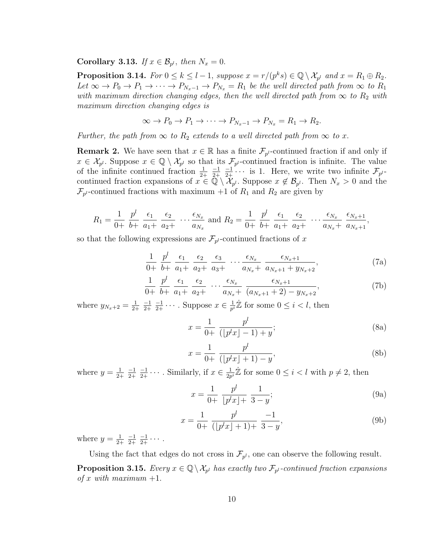Corollary 3.13. If  $x \in \mathcal{B}_{p^l}$ , then  $N_x = 0$ .

**Proposition 3.14.** For  $0 \le k \le l-1$ , suppose  $x = r/(p^k s) \in \mathbb{Q} \setminus \mathcal{X}_{p^l}$  and  $x = R_1 \oplus R_2$ . Let  $\infty \to P_0 \to P_1 \to \cdots \to P_{N_x-1} \to P_{N_x} = R_1$  be the well directed path from  $\infty$  to  $R_1$ with maximum direction changing edges, then the well directed path from  $\infty$  to  $R_2$  with maximum direction changing edges is

$$
\infty \to P_0 \to P_1 \to \cdots \to P_{N_x-1} \to P_{N_x} = R_1 \to R_2.
$$

Further, the path from  $\infty$  to  $R_2$  extends to a well directed path from  $\infty$  to x.

**Remark 2.** We have seen that  $x \in \mathbb{R}$  has a finite  $\mathcal{F}_{p^l}$ -continued fraction if and only if  $x \in \mathcal{X}_{p^l}$ . Suppose  $x \in \mathbb{Q} \setminus \mathcal{X}_{p^l}$  so that its  $\mathcal{F}_{p^l}$ -continued fraction is infinite. The value of the infinite continued fraction  $\frac{1}{2+1}$ −1 2+  $\frac{-1}{2+}$  · · · is 1. Here, we write two infinite  $\mathcal{F}_{p^l}$ continued fraction expansions of  $x \in \mathbb{Q} \setminus \mathcal{X}_{p^l}$ . Suppose  $x \notin \mathcal{B}_{p^l}$ . Then  $N_x > 0$  and the  $\mathcal{F}_{p^l}$ -continued fractions with maximum +1 of  $R_1$  and  $R_2$  are given by

$$
R_1 = \frac{1}{0+} \frac{p^l}{b+} \frac{\epsilon_1}{a_1+} \frac{\epsilon_2}{a_2+} \cdots \frac{\epsilon_{N_x}}{a_{N_x}} \text{ and } R_2 = \frac{1}{0+} \frac{p^l}{b+} \frac{\epsilon_1}{a_1+} \frac{\epsilon_2}{a_2+} \cdots \frac{\epsilon_{N_x}}{a_{N_x+}} \frac{\epsilon_{N_x+1}}{a_{N_x+1}},
$$

so that the following expressions are  $\mathcal{F}_{p^l}$ -continued fractions of x

$$
\frac{1}{0+} \frac{p^l}{b+} \frac{\epsilon_1}{a_1+} \frac{\epsilon_2}{a_2+} \frac{\epsilon_3}{a_3+} \cdots \frac{\epsilon_{N_x}}{a_{N_x+}} \frac{\epsilon_{N_x+1}}{a_{N_x+1}+y_{N_x+2}},
$$
(7a)

$$
\frac{1}{0+} \frac{p^l}{b+} \frac{\epsilon_1}{a_1+} \frac{\epsilon_2}{a_2+} \cdots \frac{\epsilon_{N_x}}{a_{N_x+}} \frac{\epsilon_{N_x+1}}{(a_{N_x+1}+2) - y_{N_x+2}},
$$
\n(7b)

where  $y_{N_x+2} = \frac{1}{2}$ 2+ −1 2+  $\frac{-1}{2+} \cdots$ . Suppose  $x \in \frac{1}{p^i}$  $\frac{1}{p^i}\dot{\mathbb{Z}}$  for some  $0 \leq i < l$ , then

$$
x = \frac{1}{0+} \frac{p^l}{(\lfloor p^l x \rfloor - 1) + y};
$$
\n(8a)

$$
x = \frac{1}{0+} \frac{p^l}{(\lfloor p^l x \rfloor + 1) - y},
$$
\n(8b)

where  $y=\frac{1}{2}$ 2+ −1 2+  $\frac{-1}{2+} \cdots$ . Similarly, if  $x \in \frac{1}{2p}$  $\frac{1}{2p^i}\mathbb{Z}$  for some  $0 \leq i < l$  with  $p \neq 2$ , then

$$
x = \frac{1}{0+} \frac{p^l}{\lfloor p^l x \rfloor +} \frac{1}{3-y};
$$
\n(9a)

$$
x = \frac{1}{0+} \frac{p^l}{(\lfloor p^l x \rfloor + 1) +} \frac{-1}{3-y},\tag{9b}
$$

where  $y=\frac{1}{2}$ 2+  $-1$ 2+  $\frac{-1}{2+} \cdots$ .

Using the fact that edges do not cross in  $\mathcal{F}_{p^l}$ , one can observe the following result.

**Proposition 3.15.** Every  $x \in \mathbb{Q} \setminus \mathcal{X}_{p^l}$  has exactly two  $\mathcal{F}_{p^l}$ -continued fraction expansions of x with maximum  $+1$ .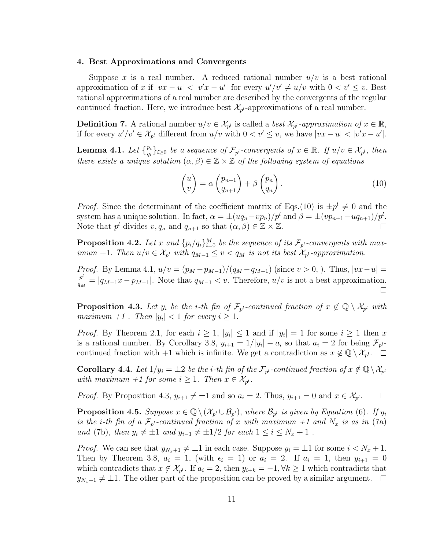#### 4. Best Approximations and Convergents

Suppose x is a real number. A reduced rational number  $u/v$  is a best rational approximation of x if  $|vx - u| < |v'x - u'|$  for every  $u'/v' \neq u/v$  with  $0 < v' \leq v$ . Best rational approximations of a real number are described by the convergents of the regular continued fraction. Here, we introduce best  $\mathcal{X}_{p^l}$ -approximations of a real number.

**Definition 7.** A rational number  $u/v \in \mathcal{X}_{p^l}$  is called a *best*  $\mathcal{X}_{p^l}$ -approximation of  $x \in \mathbb{R}$ , if for every  $u'/v' \in \mathcal{X}_{p^l}$  different from  $u/v$  with  $0 < v' \leq v$ , we have  $|vx - u| < |v'x - u'|$ .

Lemma 4.1. Let  $\{\frac{p_i}{q_i}\}$  $\{e_{i}\}_{i\geq0}$  be a sequence of  $\mathcal{F}_{p^l}$ -convergents of  $x\in\mathbb{R}$ . If  $u/v\in\mathcal{X}_{p^l}$ , then there exists a unique solution  $(\alpha, \beta) \in \mathbb{Z} \times \mathbb{Z}$  of the following system of equations

$$
\begin{pmatrix} u \\ v \end{pmatrix} = \alpha \begin{pmatrix} p_{n+1} \\ q_{n+1} \end{pmatrix} + \beta \begin{pmatrix} p_n \\ q_n \end{pmatrix}.
$$
 (10)

*Proof.* Since the determinant of the coefficient matrix of Eqs.(10) is  $\pm p^l \neq 0$  and the system has a unique solution. In fact,  $\alpha = \pm (uq_n - vp_n)/p^l$  and  $\beta = \pm (vp_{n+1} - uq_{n+1})/p^l$ . Note that  $p^l$  divides  $v, q_n$  and  $q_{n+1}$  so that  $(\alpha, \beta) \in \mathbb{Z} \times \mathbb{Z}$ .  $\Box$ 

**Proposition 4.2.** Let x and  ${p_i/q_i}_{i=0}^M$  be the sequence of its  $\mathcal{F}_{p^l}$ -convergents with maximum +1. Then  $u/v \in \mathcal{X}_{p^l}$  with  $q_{M-1} \le v < q_M$  is not its best  $\mathcal{X}_{p^l}$ -approximation.

*Proof.* By Lemma 4.1,  $u/v = (p_M - p_{M-1})/(q_M - q_{M-1})$  (since  $v > 0$ , ). Thus,  $|vx - u|$  $p^{\bm{l}}$  $\frac{p^i}{q_M} = |q_{M-1}x - p_{M-1}|$ . Note that  $q_{M-1} < v$ . Therefore,  $u/v$  is not a best approximation.  $\Box$ 

**Proposition 4.3.** Let  $y_i$  be the *i*-th fin of  $\mathcal{F}_{p^l}$ -continued fraction of  $x \notin \mathbb{Q} \setminus \mathcal{X}_{p^l}$  with maximum  $+1$ . Then  $|y_i| < 1$  for every  $i \geq 1$ .

*Proof.* By Theorem 2.1, for each  $i \geq 1$ ,  $|y_i| \leq 1$  and if  $|y_i| = 1$  for some  $i \geq 1$  then x is a rational number. By Corollary 3.8,  $y_{i+1} = 1/|y_i| - a_i$  so that  $a_i = 2$  for being  $\mathcal{F}_{p^{l-1}}$ continued fraction with  $+1$  which is infinite. We get a contradiction as  $x \notin \mathbb{Q} \setminus \mathcal{X}_{p'}$ .

**Corollary 4.4.** Let  $1/y_i = \pm 2$  be the *i*-th fin of the  $\mathcal{F}_{p^l}$ -continued fraction of  $x \notin \mathbb{Q} \setminus \mathcal{X}_{p^l}$ with maximum +1 for some  $i \geq 1$ . Then  $x \in \mathcal{X}_{p^l}$ .

*Proof.* By Proposition 4.3,  $y_{i+1} \neq \pm 1$  and so  $a_i = 2$ . Thus,  $y_{i+1} = 0$  and  $x \in \mathcal{X}_{p^l}$ .  $\Box$ 

**Proposition 4.5.** Suppose  $x \in \mathbb{Q} \setminus (\mathcal{X}_{p^l} \cup \mathcal{B}_{p^l})$ , where  $\mathcal{B}_{p^l}$  is given by Equation (6). If  $y_i$ is the *i*-th fin of a  $\mathcal{F}_{p^l}$ -continued fraction of x with maximum +1 and  $N_x$  is as in (7a) and (7b), then  $y_i \neq \pm 1$  and  $y_{i-1} \neq \pm 1/2$  for each  $1 \leq i \leq N_x + 1$ .

*Proof.* We can see that  $y_{N_x+1} \neq \pm 1$  in each case. Suppose  $y_i = \pm 1$  for some  $i < N_x + 1$ . Then by Theorem 3.8,  $a_i = 1$ , (with  $\epsilon_i = 1$ ) or  $a_i = 2$ . If  $a_i = 1$ , then  $y_{i+1} = 0$ which contradicts that  $x \notin \mathcal{X}_{p^l}$ . If  $a_i = 2$ , then  $y_{i+k} = -1, \forall k \geq 1$  which contradicts that  $y_{N_x+1} \neq \pm 1$ . The other part of the proposition can be proved by a similar argument.  $\Box$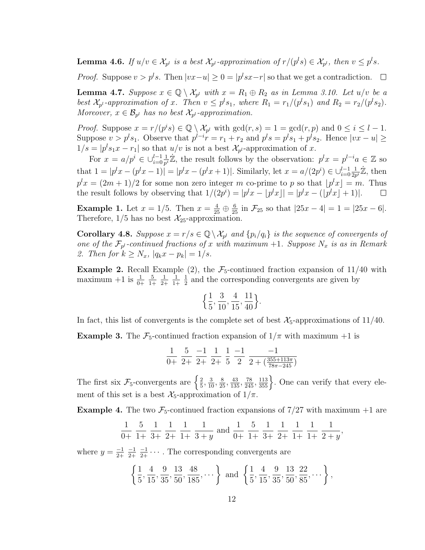**Lemma 4.6.** If  $u/v \in \mathcal{X}_{p^l}$  is a best  $\mathcal{X}_{p^l}$ -approximation of  $r/(p^l s) \in \mathcal{X}_{p^l}$ , then  $v \leq p^l s$ .

*Proof.* Suppose  $v > p^l s$ . Then  $|vx-u| \geq 0 = |p^l sx-r|$  so that we get a contradiction.

**Lemma 4.7.** Suppose  $x \in \mathbb{Q} \setminus \mathcal{X}_{p^l}$  with  $x = R_1 \oplus R_2$  as in Lemma 3.10. Let  $u/v$  be a best  $\mathcal{X}_{p^l}$ -approximation of x. Then  $v \leq p^l s_1$ , where  $R_1 = r_1/(p^l s_1)$  and  $R_2 = r_2/(p^l s_2)$ . Moreover,  $x \in \mathcal{B}_{p^l}$  has no best  $\mathcal{X}_{p^l}$ -approximation.

*Proof.* Suppose  $x = r/(p^i s) \in \mathbb{Q} \setminus \mathcal{X}_{p^l}$  with  $gcd(r, s) = 1 = gcd(r, p)$  and  $0 \le i \le l - 1$ . Suppose  $v > p<sup>l</sup>s<sub>1</sub>$ . Observe that  $p<sup>l-i</sup>r = r<sub>1</sub> + r<sub>2</sub>$  and  $p<sup>l</sup>s = p<sup>l</sup>s<sub>1</sub> + p<sup>l</sup>s<sub>2</sub>$ . Hence  $|vx - u| \ge$  $1/s = |p<sup>l</sup>s<sub>1</sub>x - r<sub>1</sub>|$  so that  $u/v$  is not a best  $\mathcal{X}_{p<sup>l</sup>}$ -approximation of x.

 $\frac{1}{p^i}\mathbb{Z}$ , the result follows by the observation:  $p^l x = p^{l-i} a \in \mathbb{Z}$  so For  $x = a/p^i \in \bigcup_{i=0}^{l-1} \frac{1}{p^i}$ that  $1 = |p^l x - (p^l x - 1)| = |p^l x - (p^l x + 1)|$ . Similarly, let  $x = a/(2p^i) \in \bigcup_{i=0}^{l-1} \frac{1}{2p^i}$  $\frac{1}{2p^i}\dot{\mathbb{Z}}$ , then  $p^l x = (2m+1)/2$  for some non zero integer m co-prime to p so that  $\lfloor p^l x \rfloor = m$ . Thus the result follows by observing that  $1/(2p^i) = |p^l x - |p^l x|| = |p^l x - (|p^l x| + 1)|$ .  $\Box$ 

**Example 1.** Let  $x = 1/5$ . Then  $x = \frac{4}{25} \oplus \frac{6}{25}$  in  $\mathcal{F}_{25}$  so that  $|25x - 4| = 1 = |25x - 6|$ . Therefore,  $1/5$  has no best  $\mathcal{X}_{25}$ -approximation.

**Corollary 4.8.** Suppose  $x = r/s \in \mathbb{Q} \setminus \mathcal{X}_{p^l}$  and  $\{p_i/q_i\}$  is the sequence of convergents of one of the  $\mathcal{F}_{p^l}$ -continued fractions of x with maximum +1. Suppose  $N_x$  is as in Remark 2. Then for  $k \ge N_x$ ,  $|q_k x - p_k| = 1/s$ .

**Example 2.** Recall Example (2), the  $\mathcal{F}_5$ -continued fraction expansion of 11/40 with maximum  $+1$  is  $\frac{1}{0+}$ 5 1+ 1 2+ 1 1+ 1  $\frac{1}{2}$  and the corresponding convergents are given by

$$
\left\{\frac{1}{5}, \frac{3}{10}, \frac{4}{15}, \frac{11}{40}\right\}.
$$

In fact, this list of convergents is the complete set of best  $\mathcal{X}_5$ -approximations of 11/40.

**Example 3.** The  $\mathcal{F}_5$ -continued fraction expansion of  $1/\pi$  with maximum  $+1$  is

$$
\frac{1}{0+} \ \frac{5}{2+} \ \frac{-1}{2+} \ \frac{1}{2+} \ \frac{1}{5} \ \frac{-1}{2} \ \frac{-1}{2 + (\frac{355+113\pi}{78\pi - 245})}
$$

The first six  $\mathcal{F}_5$ -convergents are  $\left\{\frac{2}{5}\right\}$  $\frac{2}{5}$ ,  $\frac{3}{10}$ ,  $\frac{8}{25}$ ,  $\frac{43}{135}$ ,  $\frac{78}{245}$ ,  $\frac{113}{355}$ . One can verify that every element of this set is a best  $\mathcal{X}_5$ -approximation of  $1/\pi$ .

**Example 4.** The two  $\mathcal{F}_5$ -continued fraction expansions of  $7/27$  with maximum +1 are

$$
\frac{1}{0+} \ \frac{5}{1+} \ \frac{1}{3+} \ \frac{1}{2+} \ \frac{1}{1+} \ \frac{1}{3+y} \ \text{and} \ \frac{1}{0+} \ \frac{5}{1+} \ \frac{1}{3+} \ \frac{1}{2+} \ \frac{1}{1+} \ \frac{1}{1+} \ \frac{1}{2+y},
$$

where  $y = \frac{-1}{2+1}$ 2+  $-1$ 2+  $\frac{-1}{2+} \cdots$ . The corresponding convergents are

$$
\left\{\frac{1}{5}, \frac{4}{15}, \frac{9}{35}, \frac{13}{50}, \frac{48}{185}, \cdots\right\} \text{ and } \left\{\frac{1}{5}, \frac{4}{15}, \frac{9}{35}, \frac{13}{50}, \frac{22}{85}, \cdots\right\},\right
$$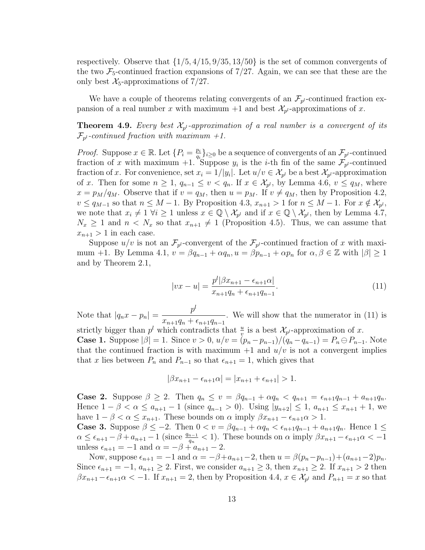respectively. Observe that  $\{1/5, 4/15, 9/35, 13/50\}$  is the set of common convergents of the two  $\mathcal{F}_5$ -continued fraction expansions of 7/27. Again, we can see that these are the only best  $\mathcal{X}_5$ -approximations of 7/27.

We have a couple of theorems relating convergents of an  $\mathcal{F}_{p^l}$ -continued fraction expansion of a real number x with maximum  $+1$  and best  $\mathcal{X}_{p^l}$ -approximations of x.

**Theorem 4.9.** Every best  $\mathcal{X}_{p^l}$ -approximation of a real number is a convergent of its  $\mathcal{F}_{p^l}$ -continued fraction with maximum +1.

*Proof.* Suppose  $x \in \mathbb{R}$ . Let  $\{P_i = \frac{p_i}{q_i}\}$  $\{q_i\}_{i\geq 0}$  be a sequence of convergents of an  $\mathcal{F}_{p^l}$ -continued fraction of x with maximum +1. Suppose  $y_i$  is the *i*-th fin of the same  $\mathcal{F}_{p^l}$ -continued fraction of x. For convenience, set  $x_i = 1/|y_i|$ . Let  $u/v \in \mathcal{X}_{p^l}$  be a best  $\mathcal{X}_{p^l}$ -approximation of x. Then for some  $n \geq 1$ ,  $q_{n-1} \leq v < q_n$ . If  $x \in \mathcal{X}_{p^l}$ , by Lemma 4.6,  $v \leq q_M$ , where  $x = p_M/q_M$ . Observe that if  $v = q_M$ , then  $u = p_M$ . If  $v \neq q_M$ , then by Proposition 4.2,  $v \le q_{M-1}$  so that  $n \le M-1$ . By Proposition 4.3,  $x_{n+1} > 1$  for  $n \le M-1$ . For  $x \notin \mathcal{X}_{p^l}$ , we note that  $x_i \neq 1 \ \forall i \geq 1$  unless  $x \in \mathbb{Q} \setminus \mathcal{X}_{p^l}$  and if  $x \in \mathbb{Q} \setminus \mathcal{X}_{p^l}$ , then by Lemma 4.7,  $N_x \geq 1$  and  $n < N_x$  so that  $x_{n+1} \neq 1$  (Proposition 4.5). Thus, we can assume that  $x_{n+1} > 1$  in each case.

Suppose  $u/v$  is not an  $\mathcal{F}_{p^l}$ -convergent of the  $\mathcal{F}_{p^l}$ -continued fraction of x with maximum +1. By Lemma 4.1,  $v = \beta q_{n-1} + \alpha q_n$ ,  $u = \beta p_{n-1} + \alpha p_n$  for  $\alpha, \beta \in \mathbb{Z}$  with  $|\beta| \ge 1$ and by Theorem 2.1,

$$
|vx - u| = \frac{p^{l}|\beta x_{n+1} - \epsilon_{n+1}\alpha|}{x_{n+1}q_n + \epsilon_{n+1}q_{n-1}}.
$$
\n(11)

Note that  $|q_n x - p_n| = \frac{p^n}{\sqrt{n}}$  $x_{n+1}q_n + \epsilon_{n+1}q_{n-1}$ . We will show that the numerator in (11) is

strictly bigger than  $p^l$  which contradicts that  $\frac{u}{v}$  is a best  $\mathcal{X}_{p^l}$ -approximation of x. **Case 1.** Suppose  $|\beta| = 1$ . Since  $v > 0$ ,  $u/v = (p_n - p_{n-1})/(q_n - q_{n-1}) = P_n \ominus P_{n-1}$ . Note that the continued fraction is with maximum  $+1$  and  $u/v$  is not a convergent implies that x lies between  $P_n$  and  $P_{n-1}$  so that  $\epsilon_{n+1} = 1$ , which gives that

$$
|\beta x_{n+1} - \epsilon_{n+1} \alpha| = |x_{n+1} + \epsilon_{n+1}| > 1.
$$

**Case 2.** Suppose  $\beta \geq 2$ . Then  $q_n \leq v = \beta q_{n-1} + \alpha q_n < q_{n+1} = \epsilon_{n+1}q_{n-1} + a_{n+1}q_n$ . Hence  $1 - \beta < \alpha \le a_{n+1} - 1$  (since  $q_{n-1} > 0$ ). Using  $|y_{n+2}| \le 1$ ,  $a_{n+1} \le x_{n+1} + 1$ , we have  $1 - \beta < \alpha \leq x_{n+1}$ . These bounds on  $\alpha$  imply  $\beta x_{n+1} - \epsilon_{n+1} \alpha > 1$ .

**Case 3.** Suppose  $\beta \leq -2$ . Then  $0 < v = \beta q_{n-1} + \alpha q_n < \epsilon_{n+1} q_{n-1} + a_{n+1} q_n$ . Hence  $1 \leq$  $\alpha \leq \epsilon_{n+1} - \beta + a_{n+1} - 1$  (since  $\frac{q_{n-1}}{q_n} < 1$ ). These bounds on  $\alpha$  imply  $\beta x_{n+1} - \epsilon_{n+1} \alpha < -1$ unless  $\epsilon_{n+1} = -1$  and  $\alpha = -\beta + a_{n+1} - 2$ .

Now, suppose  $\epsilon_{n+1} = -1$  and  $\alpha = -\beta + a_{n+1} - 2$ , then  $u = \beta(p_n - p_{n-1}) + (a_{n+1} - 2)p_n$ . Since  $\epsilon_{n+1} = -1$ ,  $a_{n+1} \geq 2$ . First, we consider  $a_{n+1} \geq 3$ , then  $x_{n+1} \geq 2$ . If  $x_{n+1} > 2$  then  $\beta x_{n+1} - \epsilon_{n+1} \alpha < -1$ . If  $x_{n+1} = 2$ , then by Proposition 4.4,  $x \in \mathcal{X}_{p^l}$  and  $P_{n+1} = x$  so that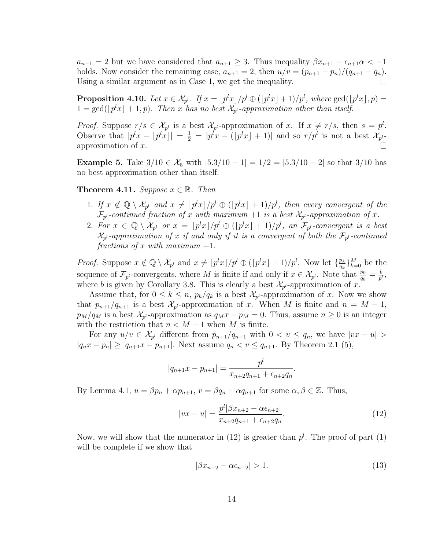$a_{n+1} = 2$  but we have considered that  $a_{n+1} \geq 3$ . Thus inequality  $\beta x_{n+1} - \epsilon_{n+1} \alpha < -1$ holds. Now consider the remaining case,  $a_{n+1} = 2$ , then  $u/v = (p_{n+1} - p_n)/(q_{n+1} - q_n)$ . Using a similar argument as in Case 1, we get the inequality. П

**Proposition 4.10.** Let  $x \in \mathcal{X}_{p^l}$ . If  $x = \lfloor p^l x \rfloor / p^l \oplus (\lfloor p^l x \rfloor + 1) / p^l$ , where  $\gcd(\lfloor p^l x \rfloor, p) =$  $1 = \gcd(\lfloor p^l x \rfloor + 1, p)$ . Then x has no best  $\mathcal{X}_{p^l}$ -approximation other than itself.

*Proof.* Suppose  $r/s \in \mathcal{X}_{p^l}$  is a best  $\mathcal{X}_{p^l}$ -approximation of x. If  $x \neq r/s$ , then  $s = p^l$ . Observe that  $|p^l x - \lfloor p^l x \rfloor| = \frac{1}{2} = |p^l x - (\lfloor p^l x \rfloor + 1)|$  and so  $r/p^l$  is not a best  $\mathcal{X}_{p^l}$ . approximation of x.  $\Box$ 

**Example 5.** Take  $3/10 \in \mathcal{X}_5$  with  $|5.3/10 - 1| = 1/2 = |5.3/10 - 2|$  so that  $3/10$  has no best approximation other than itself.

**Theorem 4.11.** Suppose  $x \in \mathbb{R}$ . Then

- 1. If  $x \notin \mathbb{Q} \setminus \mathcal{X}_{p^l}$  and  $x \neq \lfloor p^l x \rfloor / p^l \oplus (\lfloor p^l x \rfloor + 1) / p^l$ , then every convergent of the  $\mathcal{F}_{p^l}$ -continued fraction of x with maximum  $+1$  is a best  $\mathcal{X}_{p^l}$ -approximation of x.
- 2. For  $x \in \mathbb{Q} \setminus \mathcal{X}_{p^l}$  or  $x = \lfloor p^l x \rfloor / p^l \oplus (\lfloor p^l x \rfloor + 1) / p^l$ , an  $\mathcal{F}_{p^l}$ -convergent is a best  $\mathcal{X}_{p^l}$ -approximation of x if and only if it is a convergent of both the  $\mathcal{F}_{p^l}$ -continued fractions of x with maximum  $+1$ .

*Proof.* Suppose  $x \notin \mathbb{Q} \setminus \mathcal{X}_{p^l}$  and  $x \neq \lfloor p^l x \rfloor / p^l \oplus (\lfloor p^l x \rfloor + 1) / p^l$ . Now let  $\{\frac{p_k}{q_k}\}$  $\frac{p_k}{q_k}\}_{k=0}^M$  be the sequence of  $\mathcal{F}_{p^l}$ -convergents, where M is finite if and only if  $x \in \mathcal{X}_{p^l}$ . Note that  $\frac{p_0}{q_0} = \frac{b}{p^l}$  $\frac{b}{p^l}$  , where b is given by Corollary 3.8. This is clearly a best  $\mathcal{X}_{p^l}$ -approximation of x.

Assume that, for  $0 \leq k \leq n$ ,  $p_k/q_k$  is a best  $\mathcal{X}_{p^l}$ -approximation of x. Now we show that  $p_{n+1}/q_{n+1}$  is a best  $\mathcal{X}_{p'}$ -approximation of x. When M is finite and  $n = M - 1$ ,  $p_M/q_M$  is a best  $\mathcal{X}_{p'}$ -approximation as  $q_Mx - p_M = 0$ . Thus, assume  $n \geq 0$  is an integer with the restriction that  $n < M - 1$  when M is finite.

For any  $u/v \in \mathcal{X}_{p^l}$  different from  $p_{n+1}/q_{n+1}$  with  $0 < v \leq q_n$ , we have  $|vx - u| >$  $|q_nx - p_n| \geq |q_{n+1}x - p_{n+1}|$ . Next assume  $q_n < v \leq q_{n+1}$ . By Theorem 2.1 (5),

$$
|q_{n+1}x - p_{n+1}| = \frac{p^{l}}{x_{n+2}q_{n+1} + \epsilon_{n+2}q_n}
$$

By Lemma 4.1,  $u = \beta p_n + \alpha p_{n+1}$ ,  $v = \beta q_n + \alpha q_{n+1}$  for some  $\alpha, \beta \in \mathbb{Z}$ . Thus,

$$
|vx - u| = \frac{p^{l}|\beta x_{n+2} - \alpha \epsilon_{n+2}|}{x_{n+2}q_{n+1} + \epsilon_{n+2}q_n}.
$$
\n(12)

.

Now, we will show that the numerator in (12) is greater than  $p<sup>l</sup>$ . The proof of part (1) will be complete if we show that

$$
|\beta x_{n+2} - \alpha \epsilon_{n+2}| > 1. \tag{13}
$$